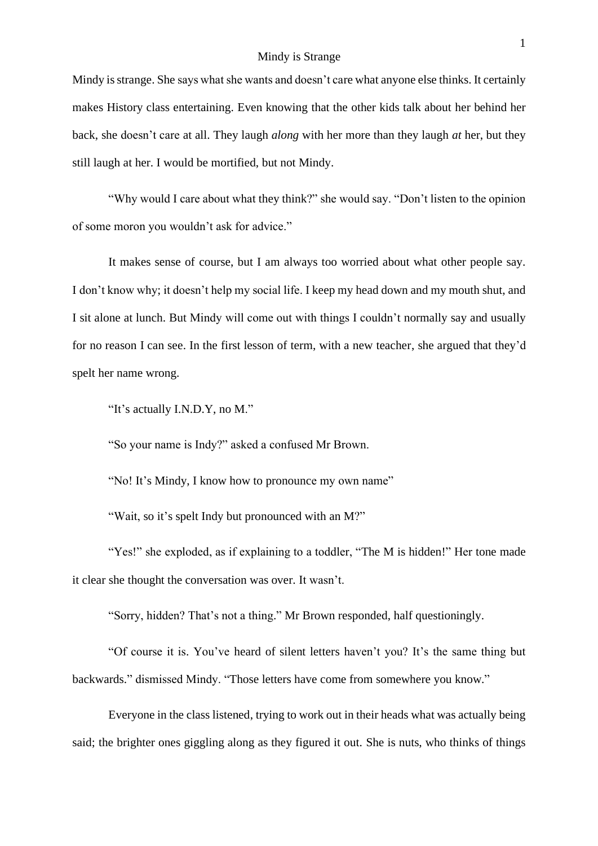## Mindy is Strange

Mindy is strange. She says what she wants and doesn't care what anyone else thinks. It certainly makes History class entertaining. Even knowing that the other kids talk about her behind her back, she doesn't care at all. They laugh *along* with her more than they laugh *at* her, but they still laugh at her. I would be mortified, but not Mindy.

"Why would I care about what they think?" she would say. "Don't listen to the opinion of some moron you wouldn't ask for advice."

It makes sense of course, but I am always too worried about what other people say. I don't know why; it doesn't help my social life. I keep my head down and my mouth shut, and I sit alone at lunch. But Mindy will come out with things I couldn't normally say and usually for no reason I can see. In the first lesson of term, with a new teacher, she argued that they'd spelt her name wrong.

"It's actually I.N.D.Y, no M."

"So your name is Indy?" asked a confused Mr Brown.

"No! It's Mindy, I know how to pronounce my own name"

"Wait, so it's spelt Indy but pronounced with an M?"

"Yes!" she exploded, as if explaining to a toddler, "The M is hidden!" Her tone made it clear she thought the conversation was over. It wasn't.

"Sorry, hidden? That's not a thing." Mr Brown responded, half questioningly.

"Of course it is. You've heard of silent letters haven't you? It's the same thing but backwards." dismissed Mindy. "Those letters have come from somewhere you know."

Everyone in the class listened, trying to work out in their heads what was actually being said; the brighter ones giggling along as they figured it out. She is nuts, who thinks of things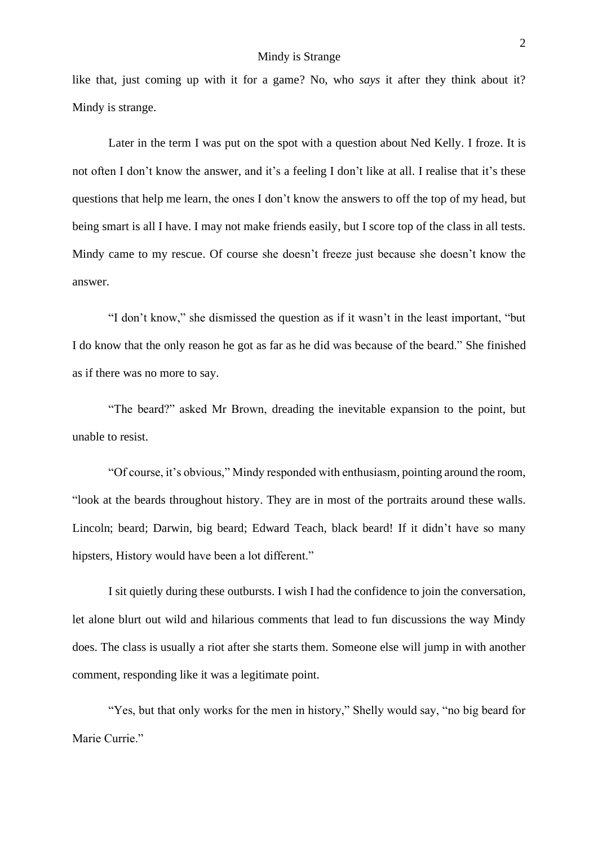like that, just coming up with it for a game? No, who *says* it after they think about it? Mindy is strange.

Later in the term I was put on the spot with a question about Ned Kelly. I froze. It is not often I don't know the answer, and it's a feeling I don't like at all. I realise that it's these questions that help me learn, the ones I don't know the answers to off the top of my head, but being smart is all I have. I may not make friends easily, but I score top of the class in all tests. Mindy came to my rescue. Of course she doesn't freeze just because she doesn't know the answer.

"I don't know," she dismissed the question as if it wasn't in the least important, "but I do know that the only reason he got as far as he did was because of the beard." She finished as if there was no more to say.

"The beard?" asked Mr Brown, dreading the inevitable expansion to the point, but unable to resist.

"Of course, it's obvious," Mindy responded with enthusiasm, pointing around the room, "look at the beards throughout history. They are in most of the portraits around these walls. Lincoln; beard; Darwin, big beard; Edward Teach, black beard! If it didn't have so many hipsters, History would have been a lot different."

I sit quietly during these outbursts. I wish I had the confidence to join the conversation, let alone blurt out wild and hilarious comments that lead to fun discussions the way Mindy does. The class is usually a riot after she starts them. Someone else will jump in with another comment, responding like it was a legitimate point.

"Yes, but that only works for the men in history," Shelly would say, "no big beard for Marie Currie."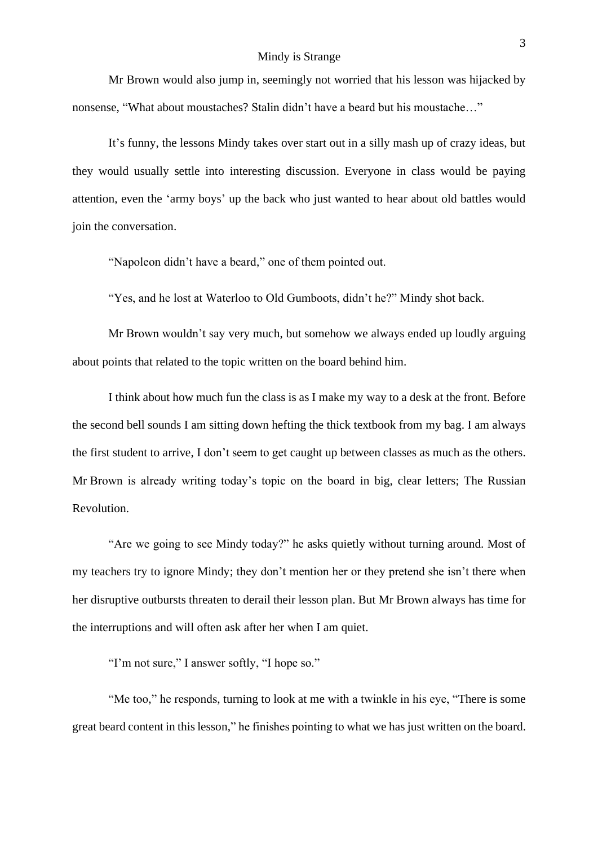## Mindy is Strange

Mr Brown would also jump in, seemingly not worried that his lesson was hijacked by nonsense, "What about moustaches? Stalin didn't have a beard but his moustache…"

It's funny, the lessons Mindy takes over start out in a silly mash up of crazy ideas, but they would usually settle into interesting discussion. Everyone in class would be paying attention, even the 'army boys' up the back who just wanted to hear about old battles would join the conversation.

"Napoleon didn't have a beard," one of them pointed out.

"Yes, and he lost at Waterloo to Old Gumboots, didn't he?" Mindy shot back.

Mr Brown wouldn't say very much, but somehow we always ended up loudly arguing about points that related to the topic written on the board behind him.

I think about how much fun the class is as I make my way to a desk at the front. Before the second bell sounds I am sitting down hefting the thick textbook from my bag. I am always the first student to arrive, I don't seem to get caught up between classes as much as the others. Mr Brown is already writing today's topic on the board in big, clear letters; The Russian Revolution.

"Are we going to see Mindy today?" he asks quietly without turning around. Most of my teachers try to ignore Mindy; they don't mention her or they pretend she isn't there when her disruptive outbursts threaten to derail their lesson plan. But Mr Brown always has time for the interruptions and will often ask after her when I am quiet.

"I'm not sure," I answer softly, "I hope so."

"Me too," he responds, turning to look at me with a twinkle in his eye, "There is some great beard content in this lesson," he finishes pointing to what we has just written on the board.